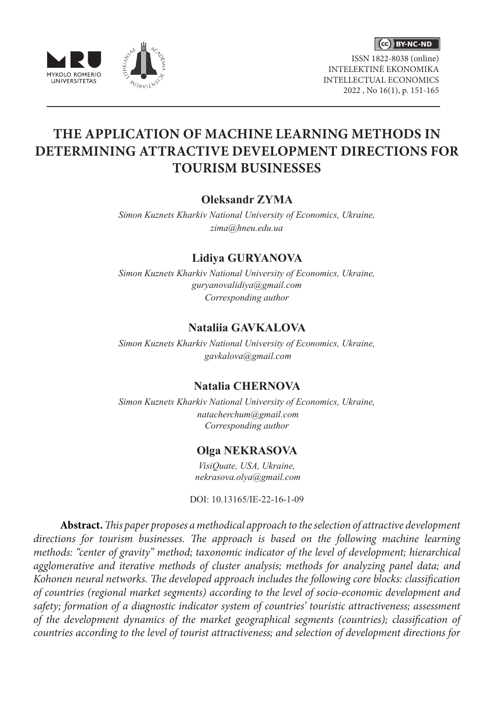





ISSN 1822-8038 (online) INTELEKTINĖ EKONOMIKA INTELLECTUAL ECONOMICS 2022 , No 16(1), p. 151-165

# **THE APPLICATION OF MACHINE LEARNING METHODS IN DETERMINING ATTRACTIVE DEVELOPMENT DIRECTIONS FOR TOURISM BUSINESSES**

## **Oleksandr ZYMA**

*Simon Kuznets Kharkiv National University of Economics, Ukraine, zima@hneu.edu.ua*

## **Lidiya GURYANOVA**

*Simon Kuznets Kharkiv National University of Economics, Ukraine, guryanovalidiya@gmail.com Corresponding author*

# **Nataliia GAVKALOVA**

*Simon Kuznets Kharkiv National University of Economics, Ukraine, gavkalova@gmail.com*

## **Natalia CHERNOVA**

*Simon Kuznets Kharkiv National University of Economics, Ukraine, natacherchum@gmail.com Corresponding author*

# **Olga NEKRASOVA**

*VisiQuate, USA, Ukraine, nekrasova.olya@gmail.com*

DOI: 10.13165/IE-22-16-1-09

**Abstract.** *This paper proposes a methodical approach to the selection of attractive development directions for tourism businesses. The approach is based on the following machine learning methods: "center of gravity" method; taxonomic indicator of the level of development; hierarchical agglomerative and iterative methods of cluster analysis; methods for analyzing panel data; and Kohonen neural networks. The developed approach includes the following core blocks: classification of countries (regional market segments) according to the level of socio-economic development and safety; formation of a diagnostic indicator system of countries' touristic attractiveness; assessment of the development dynamics of the market geographical segments (countries); classification of countries according to the level of tourist attractiveness; and selection of development directions for*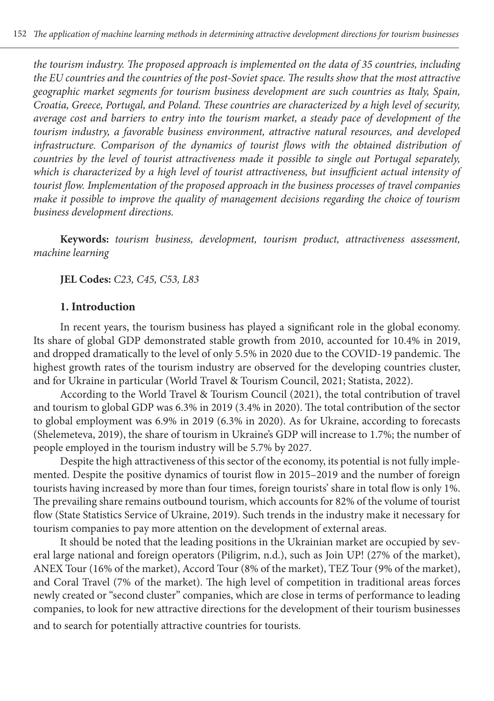*the tourism industry. The proposed approach is implemented on the data of 35 countries, including the EU countries and the countries of the post-Soviet space. The results show that the most attractive geographic market segments for tourism business development are such countries as Italy, Spain, Croatia, Greece, Portugal, and Poland. These countries are characterized by a high level of security, average cost and barriers to entry into the tourism market, a steady pace of development of the tourism industry, a favorable business environment, attractive natural resources, and developed infrastructure. Comparison of the dynamics of tourist flows with the obtained distribution of countries by the level of tourist attractiveness made it possible to single out Portugal separately, which is characterized by a high level of tourist attractiveness, but insufficient actual intensity of tourist flow. Implementation of the proposed approach in the business processes of travel companies make it possible to improve the quality of management decisions regarding the choice of tourism business development directions.*

**Keywords:** *tourism business, development, tourism product, attractiveness assessment, machine learning*

**JEL Codes:** *C23, C45, C53, L83*

#### **1. Introduction**

In recent years, the tourism business has played a significant role in the global economy. Its share of global GDP demonstrated stable growth from 2010, accounted for 10.4% in 2019, and dropped dramatically to the level of only 5.5% in 2020 due to the COVID-19 pandemic. The highest growth rates of the tourism industry are observed for the developing countries cluster, and for Ukraine in particular (World Travel & Tourism Council, 2021; Statista, 2022).

According to the World Travel & Tourism Council (2021), the total contribution of travel and tourism to global GDP was 6.3% in 2019 (3.4% in 2020). The total contribution of the sector to global employment was 6.9% in 2019 (6.3% in 2020). As for Ukraine, according to forecasts (Shelemeteva, 2019), the share of tourism in Ukraine's GDP will increase to 1.7%; the number of people employed in the tourism industry will be 5.7% by 2027.

Despite the high attractiveness of this sector of the economy, its potential is not fully implemented. Despite the positive dynamics of tourist flow in 2015–2019 and the number of foreign tourists having increased by more than four times, foreign tourists' share in total flow is only 1%. The prevailing share remains outbound tourism, which accounts for 82% of the volume of tourist flow (State Statistics Service of Ukraine, 2019). Such trends in the industry make it necessary for tourism companies to pay more attention on the development of external areas.

It should be noted that the leading positions in the Ukrainian market are occupied by several large national and foreign operators (Piligrim, n.d.), such as Join UP! (27% of the market), ANEX Tour (16% of the market), Accord Tour (8% of the market), TEZ Tour (9% of the market), and Coral Travel (7% of the market). The high level of competition in traditional areas forces newly created or "second cluster" companies, which are close in terms of performance to leading companies, to look for new attractive directions for the development of their tourism businesses and to search for potentially attractive countries for tourists.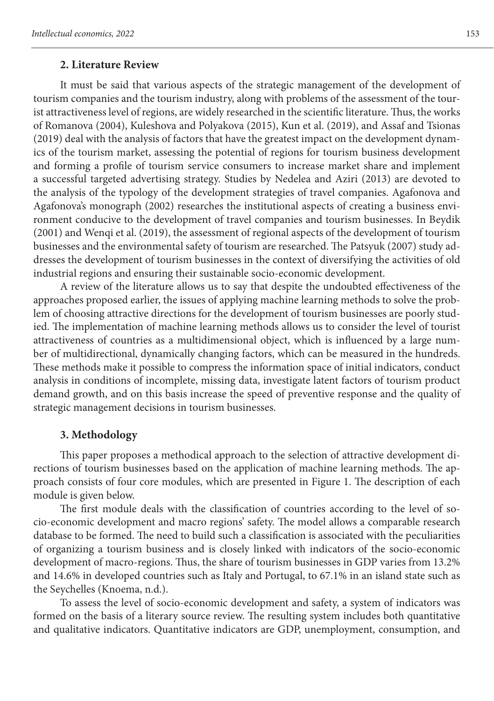#### **2. Literature Review**

It must be said that various aspects of the strategic management of the development of tourism companies and the tourism industry, along with problems of the assessment of the tourist attractiveness level of regions, are widely researched in the scientific literature. Thus, the works of Romanova (2004), Kuleshova and Polyakova (2015), Kun et al. (2019), and Assaf and Tsionas (2019) deal with the analysis of factors that have the greatest impact on the development dynamics of the tourism market, assessing the potential of regions for tourism business development and forming a profile of tourism service consumers to increase market share and implement a successful targeted advertising strategy. Studies by Nedelea and Aziri (2013) are devoted to the analysis of the typology of the development strategies of travel companies. Agafonova and Agafonova's monograph (2002) researches the institutional aspects of creating a business environment conducive to the development of travel companies and tourism businesses. In Beydik (2001) and Wenqi et al. (2019), the assessment of regional aspects of the development of tourism businesses and the environmental safety of tourism are researched. The Patsyuk (2007) study addresses the development of tourism businesses in the context of diversifying the activities of old industrial regions and ensuring their sustainable socio-economic development.

A review of the literature allows us to say that despite the undoubted effectiveness of the approaches proposed earlier, the issues of applying machine learning methods to solve the problem of choosing attractive directions for the development of tourism businesses are poorly studied. The implementation of machine learning methods allows us to consider the level of tourist attractiveness of countries as a multidimensional object, which is influenced by a large number of multidirectional, dynamically changing factors, which can be measured in the hundreds. These methods make it possible to compress the information space of initial indicators, conduct analysis in conditions of incomplete, missing data, investigate latent factors of tourism product demand growth, and on this basis increase the speed of preventive response and the quality of strategic management decisions in tourism businesses.

#### **3. Methodology**

This paper proposes a methodical approach to the selection of attractive development directions of tourism businesses based on the application of machine learning methods. The approach consists of four core modules, which are presented in Figure 1. The description of each module is given below.

The first module deals with the classification of countries according to the level of socio-economic development and macro regions' safety. The model allows a comparable research database to be formed. The need to build such a classification is associated with the peculiarities of organizing a tourism business and is closely linked with indicators of the socio-economic development of macro-regions. Thus, the share of tourism businesses in GDP varies from 13.2% and 14.6% in developed countries such as Italy and Portugal, to 67.1% in an island state such as the Seychelles (Knoema, n.d.).

To assess the level of socio-economic development and safety, a system of indicators was formed on the basis of a literary source review. The resulting system includes both quantitative and qualitative indicators. Quantitative indicators are GDP, unemployment, consumption, and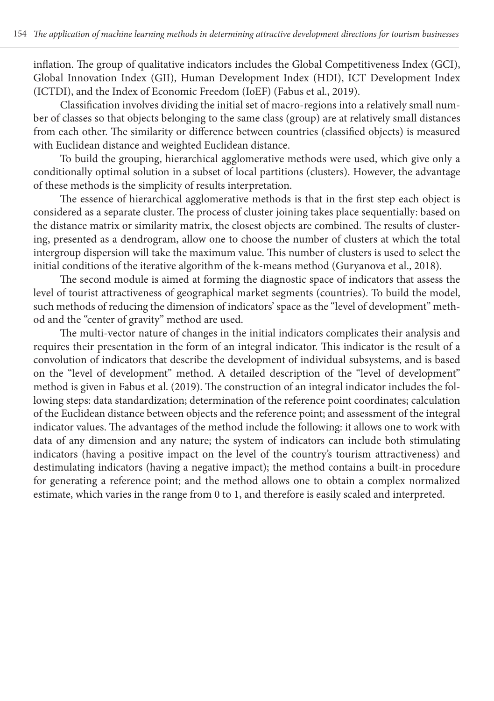inflation. The group of qualitative indicators includes the Global Competitiveness Index (GCI), Global Innovation Index (GII), Human Development Index (HDI), ICT Development Index (ICTDI), and the Index of Economic Freedom (IoEF) (Fabus et al., 2019).

Classification involves dividing the initial set of macro-regions into a relatively small number of classes so that objects belonging to the same class (group) are at relatively small distances from each other. The similarity or difference between countries (classified objects) is measured with Euclidean distance and weighted Euclidean distance.

To build the grouping, hierarchical agglomerative methods were used, which give only a conditionally optimal solution in a subset of local partitions (clusters). However, the advantage of these methods is the simplicity of results interpretation.

The essence of hierarchical agglomerative methods is that in the first step each object is considered as a separate cluster. The process of cluster joining takes place sequentially: based on the distance matrix or similarity matrix, the closest objects are combined. The results of clustering, presented as a dendrogram, allow one to choose the number of clusters at which the total intergroup dispersion will take the maximum value. This number of clusters is used to select the initial conditions of the iterative algorithm of the k-means method (Guryanova et al., 2018).

The second module is aimed at forming the diagnostic space of indicators that assess the level of tourist attractiveness of geographical market segments (countries). To build the model, such methods of reducing the dimension of indicators' space as the "level of development" method and the "center of gravity" method are used.

The multi-vector nature of changes in the initial indicators complicates their analysis and requires their presentation in the form of an integral indicator. This indicator is the result of a convolution of indicators that describe the development of individual subsystems, and is based on the "level of development" method. A detailed description of the "level of development" method is given in Fabus et al. (2019). The construction of an integral indicator includes the following steps: data standardization; determination of the reference point coordinates; calculation of the Euclidean distance between objects and the reference point; and assessment of the integral indicator values. The advantages of the method include the following: it allows one to work with data of any dimension and any nature; the system of indicators can include both stimulating indicators (having a positive impact on the level of the country's tourism attractiveness) and destimulating indicators (having a negative impact); the method contains a built-in procedure for generating a reference point; and the method allows one to obtain a complex normalized estimate, which varies in the range from 0 to 1, and therefore is easily scaled and interpreted.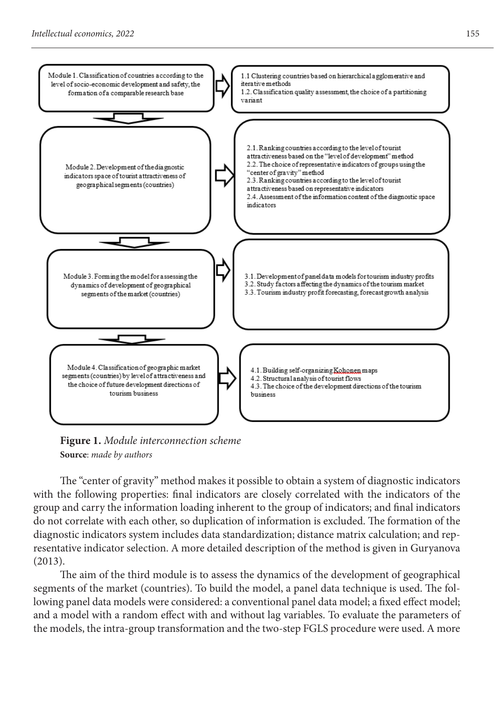

**Figure 1.** *Module interconnection scheme* **Source**: *made by authors*

The "center of gravity" method makes it possible to obtain a system of diagnostic indicators with the following properties: final indicators are closely correlated with the indicators of the group and carry the information loading inherent to the group of indicators; and final indicators do not correlate with each other, so duplication of information is excluded. The formation of the diagnostic indicators system includes data standardization; distance matrix calculation; and representative indicator selection. A more detailed description of the method is given in Guryanova (2013).

The aim of the third module is to assess the dynamics of the development of geographical segments of the market (countries). To build the model, a panel data technique is used. The following panel data models were considered: a conventional panel data model; a fixed effect model; and a model with a random effect with and without lag variables. To evaluate the parameters of the models, the intra-group transformation and the two-step FGLS procedure were used. A more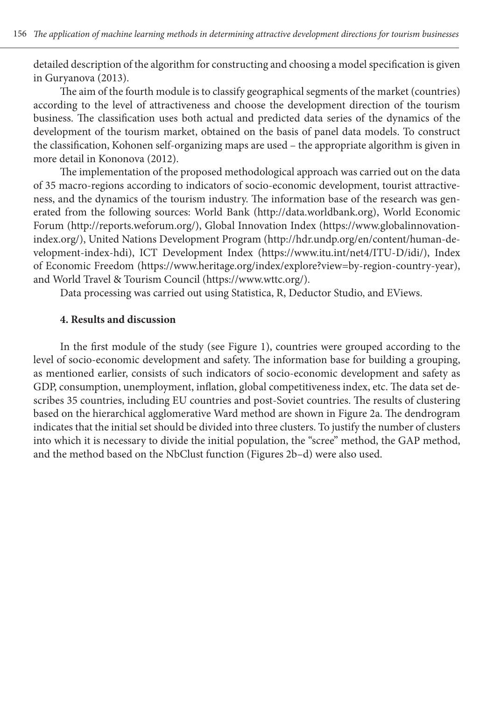detailed description of the algorithm for constructing and choosing a model specification is given in Guryanova (2013).

The aim of the fourth module is to classify geographical segments of the market (countries) according to the level of attractiveness and choose the development direction of the tourism business. The classification uses both actual and predicted data series of the dynamics of the development of the tourism market, obtained on the basis of panel data models. To construct the classification, Kohonen self-organizing maps are used – the appropriate algorithm is given in more detail in Kononova (2012).

The implementation of the proposed methodological approach was carried out on the data of 35 macro-regions according to indicators of socio-economic development, tourist attractiveness, and the dynamics of the tourism industry. The information base of the research was generated from the following sources: World Bank (http://data.worldbank.org), World Economic Forum (http://reports.weforum.org/), Global Innovation Index (https://www.globalinnovationindex.org/), United Nations Development Program (http://hdr.undp.org/en/content/human-development-index-hdi), ICT Development Index (https://www.itu.int/net4/ITU-D/idi/), Index of Economic Freedom (https://www.heritage.org/index/explore?view=by-region-country-year), and World Travel & Tourism Council (https://www.wttc.org/).

Data processing was carried out using Statistica, R, Deductor Studio, and EViews.

### **4. Results and discussion**

In the first module of the study (see Figure 1), countries were grouped according to the level of socio-economic development and safety. The information base for building a grouping, as mentioned earlier, consists of such indicators of socio-economic development and safety as GDP, consumption, unemployment, inflation, global competitiveness index, etc. The data set describes 35 countries, including EU countries and post-Soviet countries. The results of clustering based on the hierarchical agglomerative Ward method are shown in Figure 2a. The dendrogram indicates that the initial set should be divided into three clusters. To justify the number of clusters into which it is necessary to divide the initial population, the "scree" method, the GAP method, and the method based on the NbClust function (Figures 2b–d) were also used.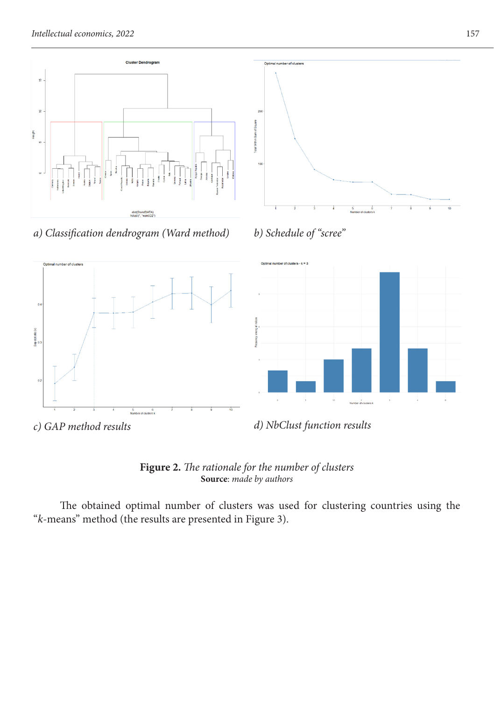

*а) Classification dendrogram (Ward method) b) Schedule of "scree"*

 $6$ <br>Number of clusters k







nber of ck

 $\overline{0}$ 

Sap stat site (k)

 $\overline{0}$ 

**Figure 2.** *The rationale for the number of clusters* **Source**: *made by authors*

The obtained optimal number of clusters was used for clustering countries using the "*k*-means" method (the results are presented in Figure 3).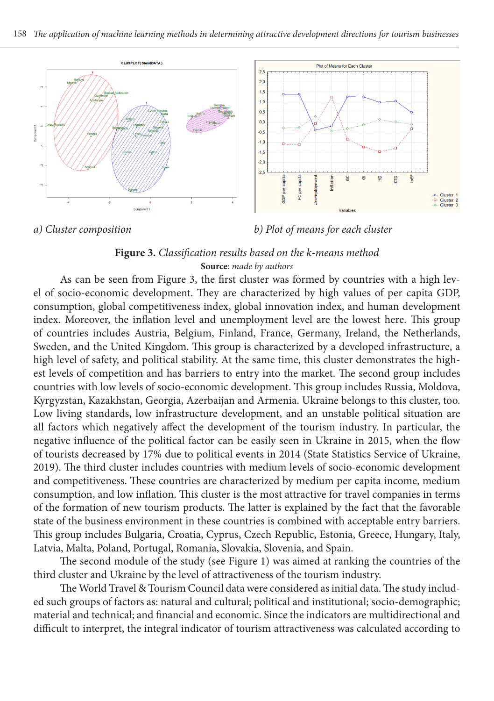

*a) Cluster composition b) Plot of means for each cluster*

### **Figure 3.** *Classification results based on the k-means method* **Source**: *made by authors*

As can be seen from Figure 3, the first cluster was formed by countries with a high level of socio-economic development. They are characterized by high values of per capita GDP, consumption, global competitiveness index, global innovation index, and human development index. Moreover, the inflation level and unemployment level are the lowest here. This group of countries includes Austria, Belgium, Finland, France, Germany, Ireland, the Netherlands, Sweden, and the United Kingdom. This group is characterized by a developed infrastructure, a high level of safety, and political stability. At the same time, this cluster demonstrates the highest levels of competition and has barriers to entry into the market. The second group includes countries with low levels of socio-economic development. This group includes Russia, Moldova, Kyrgyzstan, Kazakhstan, Georgia, Azerbaijan and Armenia. Ukraine belongs to this cluster, too. Low living standards, low infrastructure development, and an unstable political situation are all factors which negatively affect the development of the tourism industry. In particular, the negative influence of the political factor can be easily seen in Ukraine in 2015, when the flow of tourists decreased by 17% due to political events in 2014 (State Statistics Service of Ukraine, 2019). The third cluster includes countries with medium levels of socio-economic development and competitiveness. These countries are characterized by medium per capita income, medium consumption, and low inflation. This cluster is the most attractive for travel companies in terms of the formation of new tourism products. The latter is explained by the fact that the favorable state of the business environment in these countries is combined with acceptable entry barriers. This group includes Bulgaria, Croatia, Cyprus, Czech Republic, Estonia, Greece, Hungary, Italy, Latvia, Malta, Poland, Portugal, Romania, Slovakia, Slovenia, and Spain.

The second module of the study (see Figure 1) was aimed at ranking the countries of the third cluster and Ukraine by the level of attractiveness of the tourism industry.

The World Travel & Tourism Council data were considered as initial data. The study included such groups of factors as: natural and cultural; political and institutional; socio-demographic; material and technical; and financial and economic. Since the indicators are multidirectional and difficult to interpret, the integral indicator of tourism attractiveness was calculated according to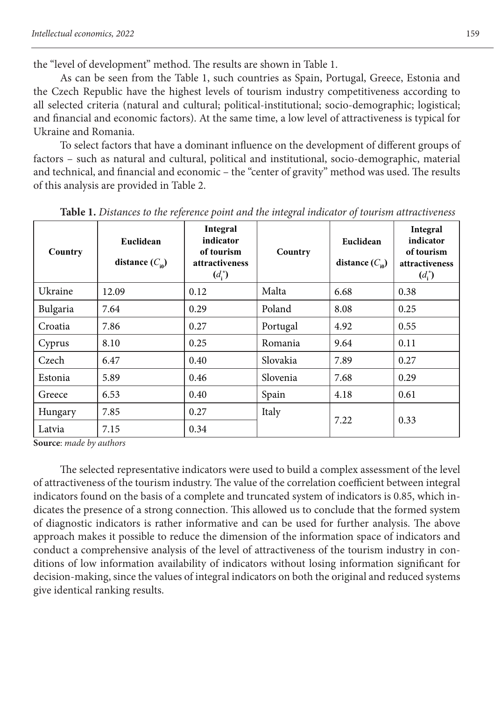the "level of development" method. The results are shown in Table 1.

As can be seen from the Table 1, such countries as Spain, Portugal, Greece, Estonia and the Czech Republic have the highest levels of tourism industry competitiveness according to all selected criteria (natural and cultural; political-institutional; socio-demographic; logistical; and financial and economic factors). At the same time, a low level of attractiveness is typical for Ukraine and Romania.

To select factors that have a dominant influence on the development of different groups of factors – such as natural and cultural, political and institutional, socio-demographic, material and technical, and financial and economic – the "center of gravity" method was used. The results of this analysis are provided in Table 2.

| Country  | Euclidean<br>distance $(C_{\scriptscriptstyle\omega}$ | Integral<br>indicator<br>of tourism<br>attractiveness<br>$(d_i^*)$ | Country  | Euclidean<br>distance $(C_{\text{in}})$ | Integral<br>indicator<br>of tourism<br>attractiveness<br>$(d_i^*)$ |  |
|----------|-------------------------------------------------------|--------------------------------------------------------------------|----------|-----------------------------------------|--------------------------------------------------------------------|--|
| Ukraine  | 12.09                                                 | 0.12                                                               | Malta    | 6.68                                    | 0.38                                                               |  |
| Bulgaria | 7.64                                                  | 0.29                                                               | Poland   | 8.08                                    | 0.25                                                               |  |
| Croatia  | 7.86                                                  | 0.27                                                               | Portugal | 4.92                                    | 0.55                                                               |  |
| Cyprus   | 8.10                                                  | 0.25                                                               | Romania  | 9.64                                    | 0.11                                                               |  |
| Czech    | 6.47                                                  | 0.40                                                               | Slovakia | 7.89                                    | 0.27                                                               |  |
| Estonia  | 5.89                                                  | 0.46                                                               | Slovenia | 7.68                                    | 0.29                                                               |  |
| Greece   | 6.53                                                  | 0.40                                                               | Spain    | 4.18                                    | 0.61                                                               |  |
| Hungary  | 7.85                                                  | 0.27                                                               | Italy    | 7.22                                    | 0.33                                                               |  |
| Latvia   | 7.15                                                  | 0.34                                                               |          |                                         |                                                                    |  |

**Table 1.** *Distances to the reference point and the integral indicator of tourism attractiveness*

**Source**: *made by authors*

The selected representative indicators were used to build a complex assessment of the level of attractiveness of the tourism industry. The value of the correlation coefficient between integral indicators found on the basis of a complete and truncated system of indicators is 0.85, which indicates the presence of a strong connection. This allowed us to conclude that the formed system of diagnostic indicators is rather informative and can be used for further analysis. The above approach makes it possible to reduce the dimension of the information space of indicators and conduct a comprehensive analysis of the level of attractiveness of the tourism industry in conditions of low information availability of indicators without losing information significant for decision-making, since the values of integral indicators on both the original and reduced systems give identical ranking results.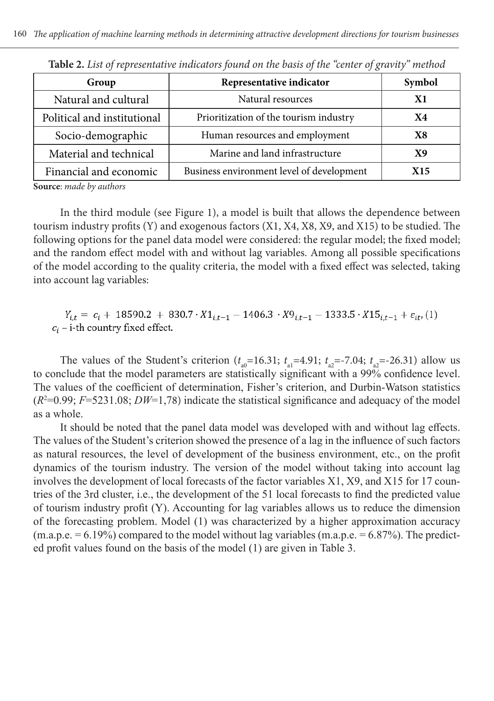| JO.                                       |           |
|-------------------------------------------|-----------|
| Representative indicator                  | Symbol    |
| Natural resources                         | X1        |
| Prioritization of the tourism industry    | <b>X4</b> |
| Human resources and employment            | X8        |
| Marine and land infrastructure            | Х9        |
| Business environment level of development | X15       |
|                                           |           |

**Table 2.** *List of representative indicators found on the basis of the "center of gravity" method*

**Source**: *made by authors*

In the third module (see Figure 1), a model is built that allows the dependence between tourism industry profits (Y) and exogenous factors (X1, X4, X8, X9, and X15) to be studied. The following options for the panel data model were considered: the regular model; the fixed model; and the random effect model with and without lag variables. Among all possible specifications of the model according to the quality criteria, the model with a fixed effect was selected, taking into account lag variables:

 $Y_{i,t} = c_i + 18590.2 + 830.7 \cdot X1_{i,t-1} - 1406.3 \cdot X9_{i,t-1} - 1333.5 \cdot X15_{i,t-1} + \varepsilon_{it}$  (1)  $c_i$  – i-th country fixed effect.

The values of the Student's criterion  $(t_{a0} = 16.31; t_{a1} = 4.91; t_{a2} = -7.04; t_{a2} = -26.31)$  allow us to conclude that the model parameters are statistically significant with a 99% confidence level. The values of the coefficient of determination, Fisher's criterion, and Durbin-Watson statistics  $(R<sup>2</sup>=0.99; F=5231.08; DW=1,78)$  indicate the statistical significance and adequacy of the model as a whole.

It should be noted that the panel data model was developed with and without lag effects. The values of the Student's criterion showed the presence of a lag in the influence of such factors as natural resources, the level of development of the business environment, etc., on the profit dynamics of the tourism industry. The version of the model without taking into account lag involves the development of local forecasts of the factor variables X1, X9, and X15 for 17 countries of the 3rd cluster, i.e., the development of the 51 local forecasts to find the predicted value of tourism industry profit (Y). Accounting for lag variables allows us to reduce the dimension of the forecasting problem. Model (1) was characterized by a higher approximation accuracy  $(m.a.p.e. = 6.19\%)$  compared to the model without lag variables  $(m.a.p.e. = 6.87\%)$ . The predicted profit values found on the basis of the model (1) are given in Table 3.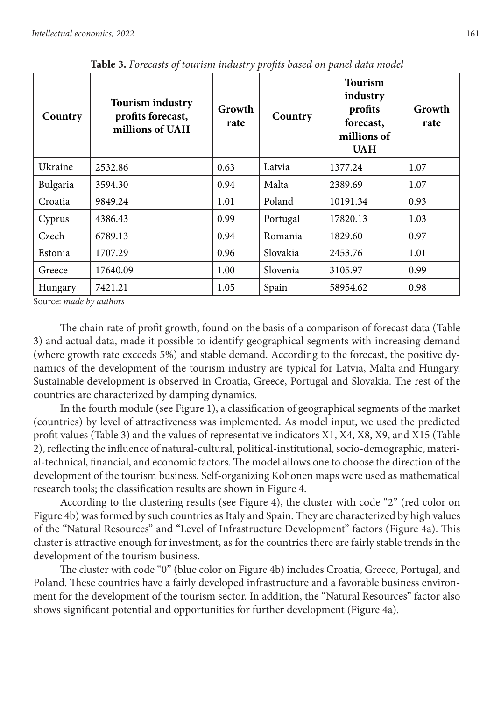| Country  | <b>Tourism industry</b><br>profits forecast,<br>millions of UAH | Growth<br>rate | Country  | <b>Tourism</b><br>industry<br>profits<br>forecast,<br>millions of<br><b>UAH</b> | Growth<br>rate |
|----------|-----------------------------------------------------------------|----------------|----------|---------------------------------------------------------------------------------|----------------|
| Ukraine  | 2532.86                                                         | 0.63           | Latvia   | 1377.24                                                                         | 1.07           |
| Bulgaria | 3594.30                                                         | 0.94           | Malta    | 2389.69                                                                         | 1.07           |
| Croatia  | 9849.24                                                         | 1.01           | Poland   | 10191.34                                                                        | 0.93           |
| Cyprus   | 4386.43                                                         | 0.99           | Portugal | 17820.13                                                                        | 1.03           |
| Czech    | 6789.13                                                         | 0.94           | Romania  | 1829.60                                                                         | 0.97           |
| Estonia  | 1707.29                                                         | 0.96           | Slovakia | 2453.76                                                                         | 1.01           |
| Greece   | 17640.09                                                        | 1.00           | Slovenia | 3105.97                                                                         | 0.99           |
| Hungary  | 7421.21                                                         | 1.05           | Spain    | 58954.62                                                                        | 0.98           |

**Table 3.** *Forecasts of tourism industry profits based on panel data model*

Source: *made by authors*

The chain rate of profit growth, found on the basis of a comparison of forecast data (Table 3) and actual data, made it possible to identify geographical segments with increasing demand (where growth rate exceeds 5%) and stable demand. According to the forecast, the positive dynamics of the development of the tourism industry are typical for Latvia, Malta and Hungary. Sustainable development is observed in Croatia, Greece, Portugal and Slovakia. The rest of the countries are characterized by damping dynamics.

In the fourth module (see Figure 1), a classification of geographical segments of the market (countries) by level of attractiveness was implemented. As model input, we used the predicted profit values (Table 3) and the values of representative indicators X1, X4, X8, X9, and X15 (Table 2), reflecting the influence of natural-cultural, political-institutional, socio-demographic, material-technical, financial, and economic factors. The model allows one to choose the direction of the development of the tourism business. Self-organizing Kohonen maps were used as mathematical research tools; the classification results are shown in Figure 4.

According to the clustering results (see Figure 4), the cluster with code "2" (red color on Figure 4b) was formed by such countries as Italy and Spain. They are characterized by high values of the "Natural Resources" and "Level of Infrastructure Development" factors (Figure 4a). This cluster is attractive enough for investment, as for the countries there are fairly stable trends in the development of the tourism business.

The cluster with code "0" (blue color on Figure 4b) includes Croatia, Greece, Portugal, and Poland. These countries have a fairly developed infrastructure and a favorable business environment for the development of the tourism sector. In addition, the "Natural Resources" factor also shows significant potential and opportunities for further development (Figure 4a).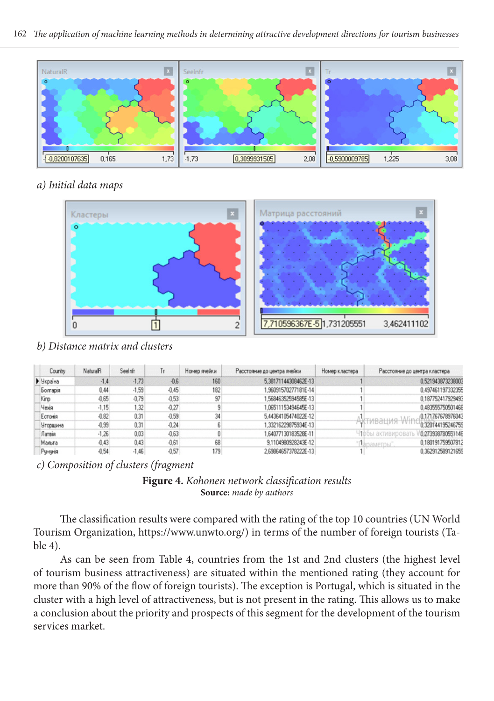

### *а) Initial data maps*



*b) Distance matrix and clusters*

| Country         | NaturalR | Seelnfr | Tr      | Номер ячейки | Расстояние до центра ячейки | Номер кластера | Расстояние до центра кластера           |
|-----------------|----------|---------|---------|--------------|-----------------------------|----------------|-----------------------------------------|
| • Україна       | $-1.4$   | $-1,73$ | $-0.6$  | 160          | 5.38171144308462E-13        |                | 0.521943873238003                       |
| Болгарія        | 0.44     | $-1.59$ | $-0.45$ | 182          | 96091570277181E-14          |                | 0.497461197332355                       |
| Kinp            | $-0.65$  | $-0.79$ | $-0.53$ | 97           | 56846352594585E-13          |                | 0.187752417929493                       |
| <b>Hexin</b>    | $-1.15$  | 1.32    | $-0.27$ |              | 06511153494645E-13          |                | 0.483555750501468                       |
| Естонія         | $-0.82$  | 0.31    | $-0.59$ | 34           | 5.44364105474022E-12        |                | 0.171767678976043                       |
| <b>Угорщина</b> | $-0.99$  | 0.31    | $-0.24$ |              | 1.33216229875934E-13        |                | 0.320144195246755                       |
| Латвія          | $-1.26$  | 0.03    | $-0.63$ |              | £4077130183528E-11          |                | 0.27393878055114E<br>- 100ы активироват |
| Мальта          | $-0.43$  | 0.43    | $-0.61$ | 68           | 9.1104980928243E-12         |                | 0.180191759507812<br>"Usnamernы"        |
| Румунія         | $-0.54$  | $-1.46$ | $-0.57$ | 179          | 2.69964657378222E-13        |                | 0.362912589121659                       |

*c) Composition of clusters (fragment*



The classification results were compared with the rating of the top 10 countries (UN World Tourism Organization, https://www.unwto.org/) in terms of the number of foreign tourists (Table 4).

As can be seen from Table 4, countries from the 1st and 2nd clusters (the highest level of tourism business attractiveness) are situated within the mentioned rating (they account for more than 90% of the flow of foreign tourists). The exception is Portugal, which is situated in the cluster with a high level of attractiveness, but is not present in the rating. This allows us to make a conclusion about the priority and prospects of this segment for the development of the tourism services market.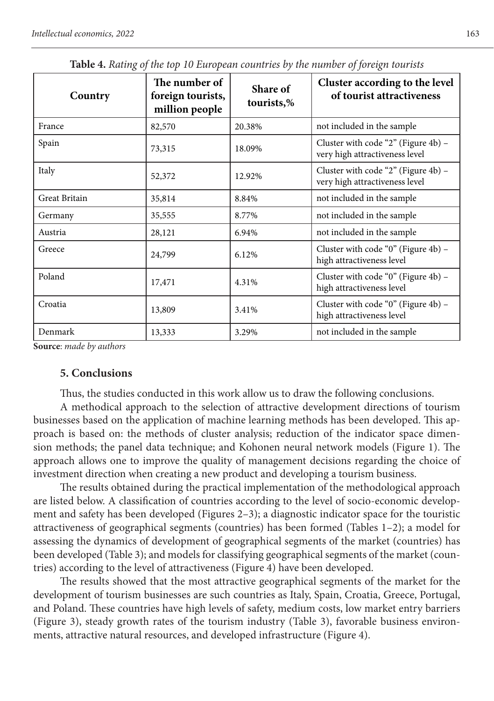| Country       | The number of<br>foreign tourists,<br>million people | Share of<br>tourists,% | Cluster according to the level<br>of tourist attractiveness           |
|---------------|------------------------------------------------------|------------------------|-----------------------------------------------------------------------|
| France        | 82,570                                               | 20.38%                 | not included in the sample                                            |
| Spain         | 73,315                                               | 18.09%                 | Cluster with code "2" (Figure 4b) -<br>very high attractiveness level |
| Italy         | 52,372                                               | 12.92%                 | Cluster with code "2" (Figure 4b) -<br>very high attractiveness level |
| Great Britain | 35,814                                               | 8.84%                  | not included in the sample                                            |
| Germany       | 35,555                                               | 8.77%                  | not included in the sample                                            |
| Austria       | 28,121                                               | 6.94%                  | not included in the sample                                            |
| Greece        | 24,799                                               | 6.12%                  | Cluster with code "0" (Figure 4b) -<br>high attractiveness level      |
| Poland        | 17,471                                               | 4.31%                  | Cluster with code "0" (Figure 4b) -<br>high attractiveness level      |
| Croatia       | 13,809                                               | 3.41%                  | Cluster with code "0" (Figure 4b) -<br>high attractiveness level      |
| Denmark       | 13,333                                               | 3.29%                  | not included in the sample                                            |

**Table 4.** *Rating of the top 10 European countries by the number of foreign tourists*

**Source**: *made by authors*

### **5. Conclusions**

Thus, the studies conducted in this work allow us to draw the following conclusions.

A methodical approach to the selection of attractive development directions of tourism businesses based on the application of machine learning methods has been developed. This approach is based on: the methods of cluster analysis; reduction of the indicator space dimension methods; the panel data technique; and Kohonen neural network models (Figure 1). The approach allows one to improve the quality of management decisions regarding the choice of investment direction when creating a new product and developing a tourism business.

The results obtained during the practical implementation of the methodological approach are listed below. A classification of countries according to the level of socio-economic development and safety has been developed (Figures 2–3); a diagnostic indicator space for the touristic attractiveness of geographical segments (countries) has been formed (Tables 1–2); a model for assessing the dynamics of development of geographical segments of the market (countries) has been developed (Table 3); and models for classifying geographical segments of the market (countries) according to the level of attractiveness (Figure 4) have been developed.

The results showed that the most attractive geographical segments of the market for the development of tourism businesses are such countries as Italy, Spain, Croatia, Greece, Portugal, and Poland. These countries have high levels of safety, medium costs, low market entry barriers (Figure 3), steady growth rates of the tourism industry (Table 3), favorable business environments, attractive natural resources, and developed infrastructure (Figure 4).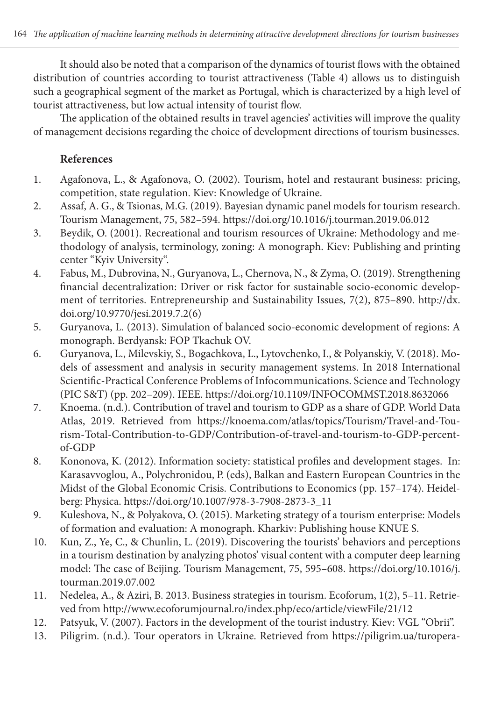It should also be noted that a comparison of the dynamics of tourist flows with the obtained distribution of countries according to tourist attractiveness (Table 4) allows us to distinguish such a geographical segment of the market as Portugal, which is characterized by a high level of tourist attractiveness, but low actual intensity of tourist flow.

The application of the obtained results in travel agencies' activities will improve the quality of management decisions regarding the choice of development directions of tourism businesses.

# **References**

- 1. Agafonova, L., & Agafonova, O. (2002). Tourism, hotel and restaurant business: pricing, competition, state regulation. Kiev: Knowledge of Ukraine.
- 2. Assaf, A. G., & Tsionas, M.G. (2019). Bayesian dynamic panel models for tourism research. Tourism Management, 75, 582–594. https://doi.org/10.1016/j.tourman.2019.06.012
- 3. Beydik, O. (2001). Recreational and tourism resources of Ukraine: Methodology and methodology of analysis, terminology, zoning: A monograph. Kiev: Publishing and printing center "Kyiv University".
- 4. Fabus, M., Dubrovina, N., Guryanova, L., Chernova, N., & Zyma, O. (2019). Strengthening financial decentralization: Driver or risk factor for sustainable socio-economic development of territories. Entrepreneurship and Sustainability Issues, 7(2), 875–890. http://dx. doi.org/10.9770/jesi.2019.7.2(6)
- 5. Guryanova, L. (2013). Simulation of balanced socio-economic development of regions: A monograph. Berdyansk: FOP Tkachuk OV.
- 6. Guryanova, L., Milevskiy, S., Bogachkova, L., Lytovchenko, I., & Polyanskiy, V. (2018). Models of assessment and analysis in security management systems. In 2018 International Scientific-Practical Conference Problems of Infocommunications. Science and Technology (PIC S&T) (pp. 202–209). IEEE. https://doi.org/10.1109/INFOCOMMST.2018.8632066
- 7. Knoema. (n.d.). Contribution of travel and tourism to GDP as a share of GDP. World Data Atlas, 2019. Retrieved from https://knoema.com/atlas/topics/Tourism/Travel-and-Tourism-Total-Contribution-to-GDP/Contribution-of-travel-and-tourism-to-GDP-percentof-GDP
- 8. Kononova, K. (2012). Information society: statistical profiles and development stages. In: Karasavvoglou, A., Polychronidou, P. (eds), Balkan and Eastern European Countries in the Midst of the Global Economic Crisis. Contributions to Economics (pp. 157–174). Heidelberg: Physica. https://doi.org/10.1007/978-3-7908-2873-3\_11
- 9. Kuleshova, N., & Polyakova, O. (2015). Marketing strategy of a tourism enterprise: Models of formation and evaluation: A monograph. Kharkiv: Publishing house KNUE S.
- 10. Kun, Z., Ye, C., & Chunlin, L. (2019). Discovering the tourists' behaviors and perceptions in a tourism destination by analyzing photos' visual content with a computer deep learning model: The case of Beijing. Tourism Management, 75, 595–608. https://doi.org/10.1016/j. tourman.2019.07.002
- 11. Nedelea, A., & Aziri, B. 2013. Business strategies in tourism. Ecoforum, 1(2), 5–11. Retrieved from http://www.ecoforumjournal.ro/index.php/eco/article/viewFile/21/12
- 12. Patsyuk, V. (2007). Factors in the development of the tourist industry. Kiev: VGL "Obrii".
- 13. Piligrim. (n.d.). Tour operators in Ukraine. Retrieved from https://piligrim.ua/turopera-